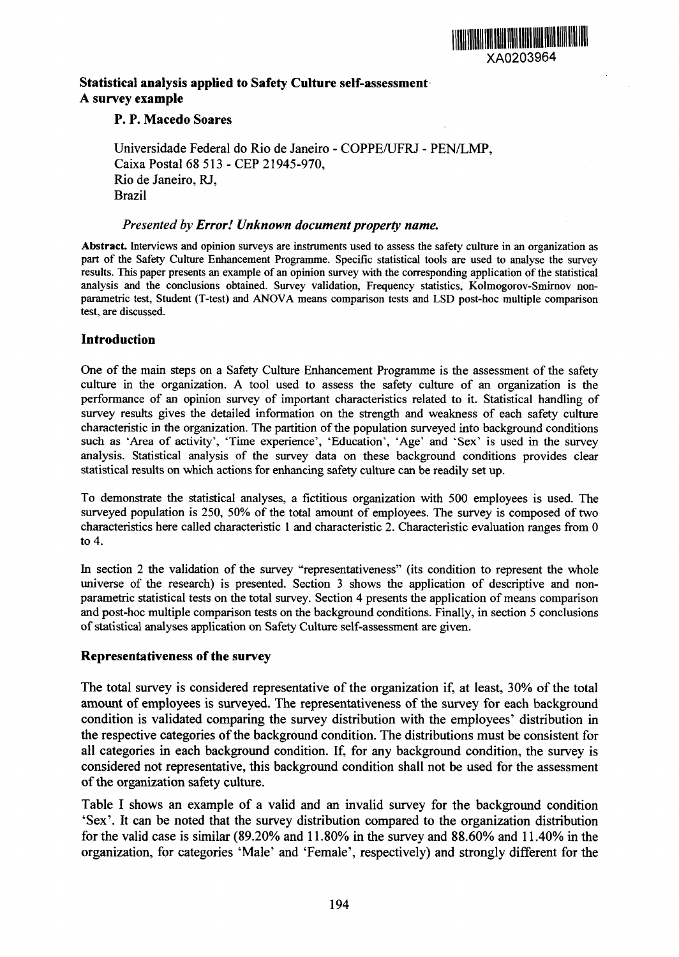

## **Statistical analysis applied to Safety Culture self-assessment. A survey example**

### **P. P. Macedo Soares**

Universidade Federal do Rio de Janeiro - COPPE/UFRJ - PEN/LMP, Caixa Postal 68 513 - CEP 21945-970, Rio de Janeiro, RJ, Brazil

#### *Presented by Error! Unknown document property name.*

**Abstract.** Interviews and opinion surveys are instruments used to assess the safety culture in an organization as part of the Safety Culture Enhancement Programme. Specific statistical tools are used to analyse the survey results. This paper presents an example of an opinion survey with the corresponding application of the statistical analysis and the conclusions obtained. Survey validation, Frequency statistics, Kolmogorov-Smirnov nonparametric test, Student (T-test) and ANOVA means comparison tests and LSD post-hoc multiple comparison test, are discussed.

### **Introduction**

One of the main steps on a Safety Culture Enhancement Programme is the assessment of the safety culture in the organization. A tool used to assess the safety culture of an organization is the performance of an opinion survey of important characteristics related to it. Statistical handling of survey results gives the detailed information on the strength and weakness of each safety culture characteristic in the organization. The partition of the population surveyed into background conditions such as 'Area of activity', 'Time experience', 'Education', 'Age' and 'Sex' is used in the survey analysis. Statistical analysis of the survey data on these background conditions provides clear statistical results on which actions for enhancing safety culture can be readily set up.

To demonstrate the statistical analyses, a fictitious organization with 500 employees is used. The surveyed population is *250,* 50% of the total amount of employees. The survey is composed of two characteristics here called characteristic 1 and characteristic 2. Characteristic evaluation ranges from 0 to 4.

In section 2 the validation of the survey "representativeness" (its condition to represent the whole universe of the research) is presented. Section 3 shows the application of descriptive and nonparametric statistical tests on the total survey. Section 4 presents the application of means comparison and post-hoc multiple comparison tests on the background conditions. Finally, in section 5 conclusions of statistical analyses application on Safety Culture self-assessment are given.

### **Representativeness of the survey**

The total survey is considered representative of the organization if, at least, 30% of the total amount of employees is surveyed. The representativeness of the survey for each background condition is validated comparing the survey distribution with the employees' distribution in the respective categories of the background condition. The distributions must be consistent for all categories in each background condition. If, for any background condition, the survey is considered not representative, this background condition shall not be used for the assessment of the organization safety culture.

Table I shows an example of a valid and an invalid survey for the background condition 'Sex'. It can be noted that the survey distribution compared to the organization distribution for the valid case is similar (89.20% and 11.80% in the survey and 88.60% and 11.40% in the organization, for categories 'Male' and 'Female', respectively) and strongly different for the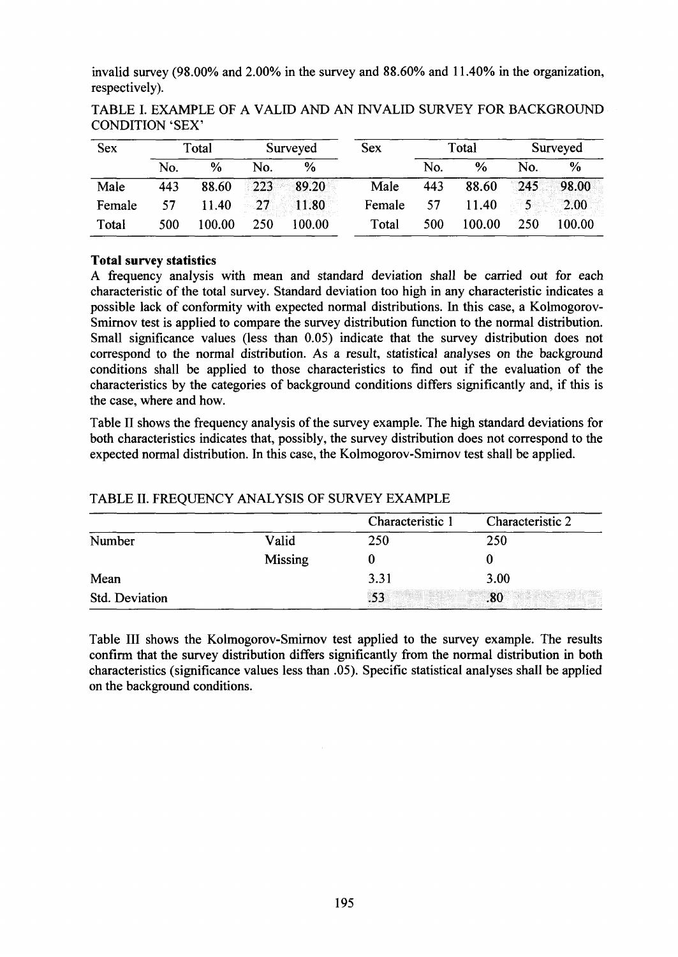invalid survey (98.00% and 2.00% in the survey and 88.60% and 11.40% in the organization, respectively).

| <b>Sex</b> | Total |        | Surveyed  |        | <b>Sex</b> | Total |        | Surveyed |        |
|------------|-------|--------|-----------|--------|------------|-------|--------|----------|--------|
|            | No.   | $\%$   | No.       | $\%$   |            | No.   | $\%$   | No.      | $\%$   |
| Male       | 443   | 88.60  | 223       | 89.20  | Male       | 443   | 88.60  | 245      | 98.00  |
| Female     | 57    | 11.40  | $\sim 27$ | 11.80  | Female     | 57    | 11.40  |          | 2.00   |
| Total      | 500   | 100.00 | 250       | 100.00 | Total      | 500   | 100.00 | 250      | 100.00 |

TABLE I. EXAMPLE OF A VALID AND AN INVALID SURVEY FOR BACKGROUND CONDITION 'SEX'

## **Total survey statistics**

A frequency analysis with mean and standard deviation shall be carried out for each characteristic of the total survey. Standard deviation too high in any characteristic indicates a possible lack of confonmity with expected normal distributions. In this case, a Kolmogorov-Smirnov test is applied to compare the survey distribution function to the normal distribution. Small significance values (less than *0.05)* indicate that the survey distribution does not correspond to the normal distribution. As a result, statistical analyses on the background conditions shall be applied to those characteristics to find out if the evaluation of the characteristics by the categories of background conditions differs significantly and, if this is the case, where and how.

Table II shows the frequency analysis of the survey example. The high standard deviations for both characteristics indicates that, possibly, the survey distribution does not correspond to the expected normal distribution. In this case, the Kolmogorov-Smimov test shall be applied.

|                |                | Characteristic 1 | Characteristic 2                                    |
|----------------|----------------|------------------|-----------------------------------------------------|
| Number         | Valid          | 250              | 250                                                 |
|                | <b>Missing</b> |                  |                                                     |
| Mean           |                | 3.31             | 3.00                                                |
| Std. Deviation |                |                  | .80<br>1992 - China China (China China China China) |

# TABLE II. FREQUENCY ANALYSIS OF SURVEY EXAMPLE

Table III shows the Kolmogorov-Smirnov test applied to the survey example. The results confirm that the survey distribution differs significantly from the normal distribution in both characteristics (significance values less than *.05).* Specific statistical analyses shall be applied on the background conditions.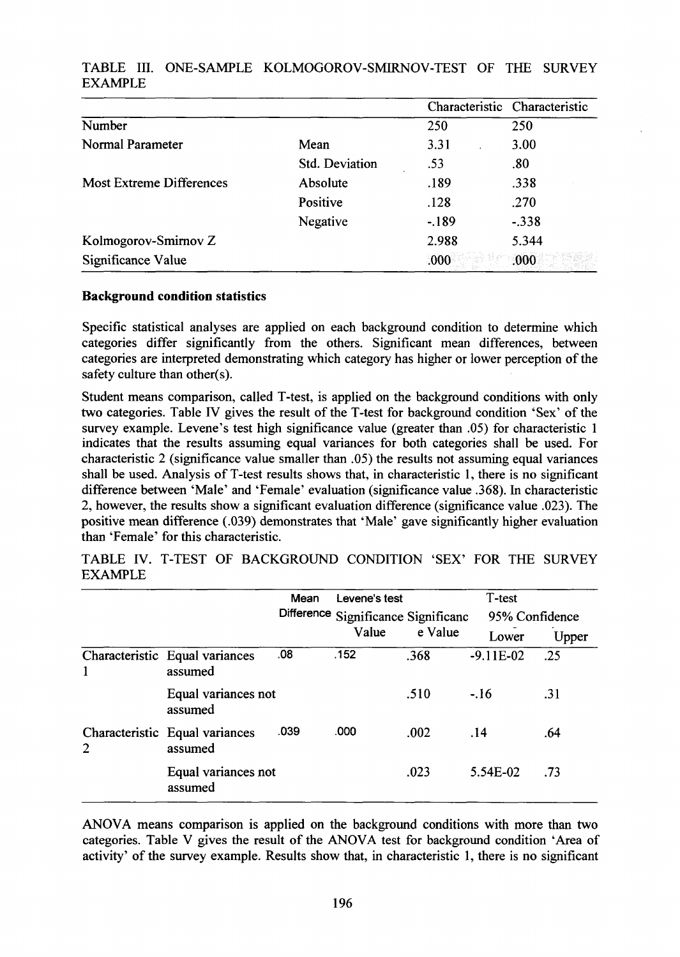|                                 |                |         | Characteristic Characteristic |
|---------------------------------|----------------|---------|-------------------------------|
| Number                          |                | 250     | 250                           |
| Normal Parameter                | Mean           | 3.31    | 3.00                          |
|                                 | Std. Deviation | .53     | .80                           |
| <b>Most Extreme Differences</b> | Absolute       | .189    | .338                          |
|                                 | Positive       | .128    | .270                          |
|                                 | Negative       | $-.189$ | $-.338$                       |
| Kolmogorov-Smirnov Z            |                | 2.988   | 5.344                         |
| Significance Value              |                | .000    | .000                          |

# TABLE III. ONE-SAMPLE KOLMOGOROV-SMIRNOV-TEST OF THE SURVEY EXAMPLE

### **Background condition statistics**

Specific statistical analyses are applied on each background condition to determine which categories differ significantly from the others. Significant mean differences, between categories are interpreted demonstrating which category has higher or lower perception of the safety culture than other(s).

Student means comparison, called T-test, is applied on the background conditions with only two categories. Table 1V gives the result of the T-test for background condition 'Sex' of the survey example. Levene's test high significance value (greater than .05) for characteristic 1 indicates that the results assuming equal variances for both categories shall be used. For characteristic 2 (significance value smaller than *.05)* the results not assuming equal variances shall be used. Analysis of T-test results shows that, in characteristic 1, there is no significant difference between 'Male' and 'Female' evaluation (significance value .368). In characteristic 2, however, the results show a significant evaluation difference (significance value .023). The positive mean difference (.039) demonstrates that 'Male' gave significantly higher evaluation than 'Female' for this characteristic.

|                |                                           | Mean | Levene's test                       |         | T-test         |       |  |
|----------------|-------------------------------------------|------|-------------------------------------|---------|----------------|-------|--|
|                |                                           |      | Difference Significance Significanc |         | 95% Confidence |       |  |
|                |                                           |      | Value                               | e Value | Lower          | Upper |  |
| 1              | Characteristic Equal variances<br>assumed | .08  | .152                                | .368    | $-9.11E-02$    | .25   |  |
|                | Equal variances not<br>assumed            |      |                                     | .510    | $-.16$         | .31   |  |
| $\overline{2}$ | Characteristic Equal variances<br>assumed | .039 | .000                                | .002    | .14            | .64   |  |
|                | Equal variances not<br>assumed            |      |                                     | .023    | 5.54E-02       | .73   |  |

TABLE IV. T-TEST OF BACKGROUND CONDITION 'SEX' FOR THE SURVEY EXAMPLE

ANOVA means comparison is applied on the background conditions with more than two categories. Table V gives the result of the ANOVA test for background condition 'Area of activity' of the survey example. Results show that, in characteristic 1, there is no significant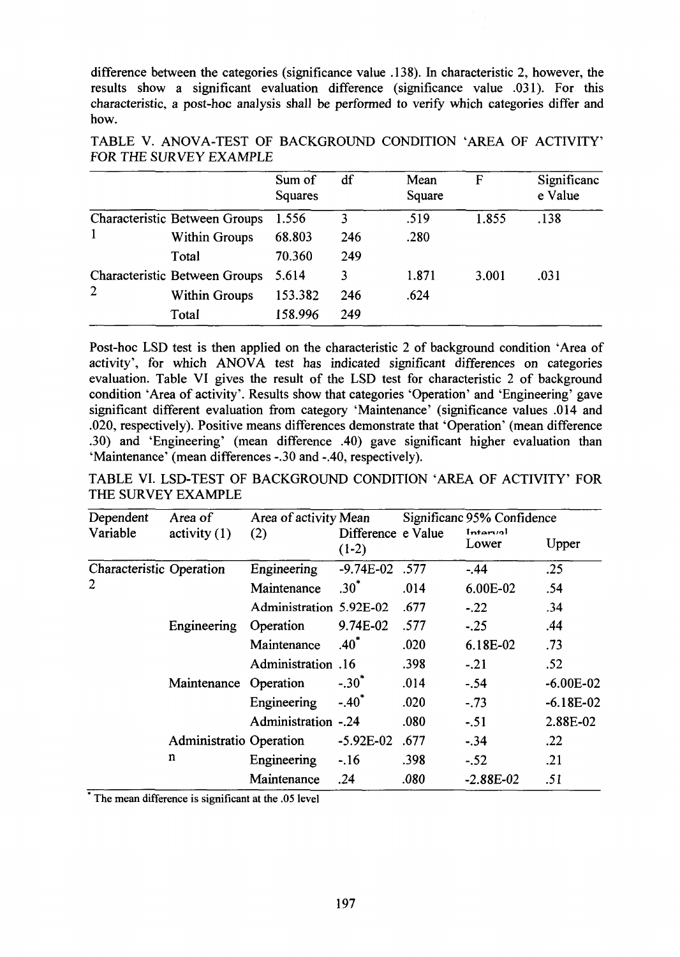difference between the categories (significance value .138). In characteristic 2, however, the results show a significant evaluation difference (significance value .031). For this characteristic, a post-hoc analysis shall be performed to verify which categories differ and how.

|                |                                      | Sum of<br>Squares | df  | Mean<br>Square | F     | Significanc<br>e Value |
|----------------|--------------------------------------|-------------------|-----|----------------|-------|------------------------|
|                | <b>Characteristic Between Groups</b> | 1.556             | 3   | .519           | 1.855 | .138                   |
|                | <b>Within Groups</b>                 | 68.803            | 246 | .280           |       |                        |
|                | Total                                | 70.360            | 249 |                |       |                        |
| $\overline{2}$ | Characteristic Between Groups        | 5.614             | 3   | 1.871          | 3.001 | .031                   |
|                | <b>Within Groups</b>                 | 153.382           | 246 | .624           |       |                        |
|                | Total                                | 158.996           | 249 |                |       |                        |

TABLE V. ANOVA-TEST OF BACKGROUND) CONDITION 'AREA OF ACTIVITY' **FOR THE SURVEY EXAMPLE** 

Post-hoc LSD test is then applied on the characteristic 2 of background condition 'Area of activity', for which ANOVA test has indicated significant differences on categories evaluation. Table VI gives the result of the LSD test for characteristic 2 of background condition 'Area of activity'. Results show that categories 'Operation' and 'Engineering' gave significant different evaluation from category 'Maintenance' (significance values .014 and .020, respectively). Positive means differences demonstrate that 'Operation' (mean difference .30) and 'Engineering' (mean difference .40) gave significant higher evaluation than 'Maintenance' (mean differences -30 and -.40, respectively).

TABLE VI. LSD-TEST OF BACKGROUND CONDITION 'AREA OF ACTIVITY' FOR THE SURVEY EXAMPLE

| Dependent                       | Area of                 | Area of activity Mean   |                               |      | Significanc 95% Confidence |             |
|---------------------------------|-------------------------|-------------------------|-------------------------------|------|----------------------------|-------------|
| Variable                        | activity(1)             | (2)                     | Difference e Value<br>$(1-2)$ |      | Informal<br>Lower          | Upper       |
| <b>Characteristic Operation</b> |                         | Engineering             | $-9.74E - 02$ .577            |      | $-.44$                     | .25         |
| 2                               |                         | Maintenance             | $.30^{\ast}$                  | .014 | 6.00E-02                   | .54         |
|                                 |                         | Administration 5.92E-02 |                               | .677 | $-.22$                     | .34         |
|                                 | Engineering             | Operation               | 9.74E-02                      | .577 | $-.25$                     | .44         |
|                                 |                         | Maintenance             | $.40^{\ast}$                  | .020 | 6.18E-02                   | .73         |
|                                 |                         | Administration .16      |                               | .398 | $-21$                      | .52         |
|                                 | Maintenance Operation   |                         | $-.30^{*}$                    | .014 | $-.54$                     | $-6.00E-02$ |
|                                 |                         | Engineering             | $-.40^*$                      | .020 | $-.73$                     | $-6.18E-02$ |
|                                 |                         | Administration -.24     |                               | .080 | $-.51$                     | 2.88E-02    |
|                                 | Administratio Operation |                         | $-5.92E-02$                   | .677 | $-34$                      | .22         |
|                                 | n                       | Engineering             | $-.16$                        | .398 | $-.52$                     | .21         |
|                                 |                         | Maintenance             | .24                           | .080 | $-2.88E-02$                | .51         |

\*The mean difference is significant at the .05 level